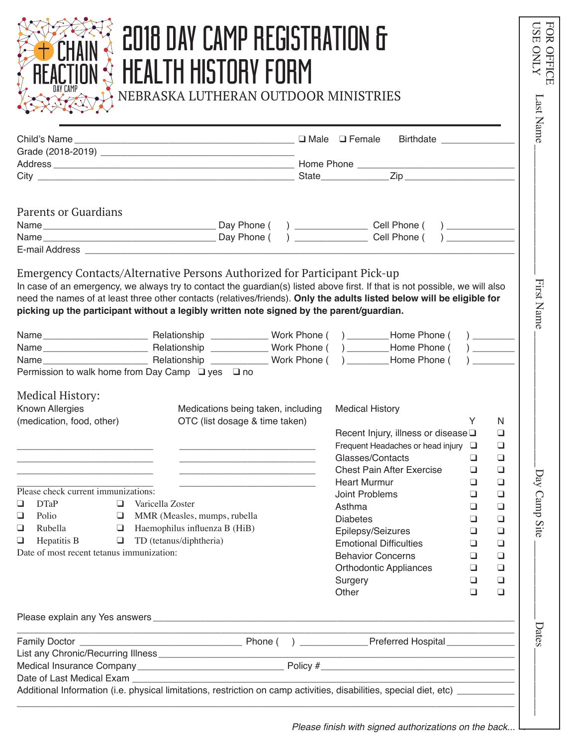| HEALTH HISTORY FORM<br>NEBRASKA LUTHERAN OUTDOOR MINISTRIES                                                                                                                                                                                                                                                                                                                                                                                                       | 2018 DAY CAMP REGISTRATION &                                                                                                                                                                                                                                                                                                                                                                            |
|-------------------------------------------------------------------------------------------------------------------------------------------------------------------------------------------------------------------------------------------------------------------------------------------------------------------------------------------------------------------------------------------------------------------------------------------------------------------|---------------------------------------------------------------------------------------------------------------------------------------------------------------------------------------------------------------------------------------------------------------------------------------------------------------------------------------------------------------------------------------------------------|
|                                                                                                                                                                                                                                                                                                                                                                                                                                                                   | Birthdate _______________                                                                                                                                                                                                                                                                                                                                                                               |
| <b>Parents or Guardians</b>                                                                                                                                                                                                                                                                                                                                                                                                                                       | ) _____________________ Cell Phone (<br>$\overline{a}$<br><b>Cell Phone</b> (                                                                                                                                                                                                                                                                                                                           |
| Emergency Contacts/Alternative Persons Authorized for Participant Pick-up<br>In case of an emergency, we always try to contact the guardian(s) listed above first. If that is not possible, we will also<br>need the names of at least three other contacts (relatives/friends). Only the adults listed below will be eligible for<br>picking up the participant without a legibly written note signed by the parent/guardian.                                    |                                                                                                                                                                                                                                                                                                                                                                                                         |
| Permission to walk home from Day Camp □ yes □ no<br><b>Medical History:</b><br>Known Allergies<br>Medications being taken, including                                                                                                                                                                                                                                                                                                                              | <b>Medical History</b><br>N                                                                                                                                                                                                                                                                                                                                                                             |
| OTC (list dosage & time taken)<br><u> 1980 - Jan Barbara de San Barbara de San Barbara de San Barbara de San Barbara de San Barbara de San Barbara d</u><br><u> 1989 - Johann Harry Harry Harry Harry Harry Harry Harry Harry Harry Harry Harry Harry Harry Harry Harry Harry</u>                                                                                                                                                                                 | Recent Injury, illness or disease Q<br>◻<br>Frequent Headaches or head injury $\Box$<br>$\Box$<br>Glasses/Contacts<br>$\Box$<br>⊔<br><b>Chest Pain After Exercise</b><br>$\Box$<br>$\Box$                                                                                                                                                                                                               |
| (medication, food, other)<br><u> 1990 - Johann John Harry Harry Harry Harry Harry Harry Harry Harry Harry Harry Harry Harry Harry Harry Harry H</u><br>Please check current immunizations:<br><b>DTaP</b><br>$\Box$<br>Varicella Zoster<br>u<br>Polio<br>$\Box$ MMR (Measles, mumps, rubella<br>❏<br>$\Box$ Haemophilus influenza B (HiB)<br>Rubella<br>❏<br>$\Box$ TD (tetanus/diphtheria)<br>Hepatitis B<br>$\Box$<br>Date of most recent tetanus immunization: | $\Box$<br><b>Heart Murmur</b><br>o<br>Joint Problems<br>$\Box$<br>$\Box$<br>Asthma<br>$\Box$<br>❏<br><b>Diabetes</b><br>$\Box$<br>$\Box$<br>Epilepsy/Seizures<br>$\Box$<br>$\Box$<br><b>Emotional Difficulties</b><br>$\Box$<br>$\Box$<br><b>Behavior Concerns</b><br>$\Box$<br>$\Box$<br>$\Box$<br><b>Orthodontic Appliances</b><br>$\Box$<br>$\Box$<br>$\Box$<br>Surgery<br>Other<br>$\Box$<br>$\Box$ |
|                                                                                                                                                                                                                                                                                                                                                                                                                                                                   |                                                                                                                                                                                                                                                                                                                                                                                                         |

Please finish with signed authorizations on the back...